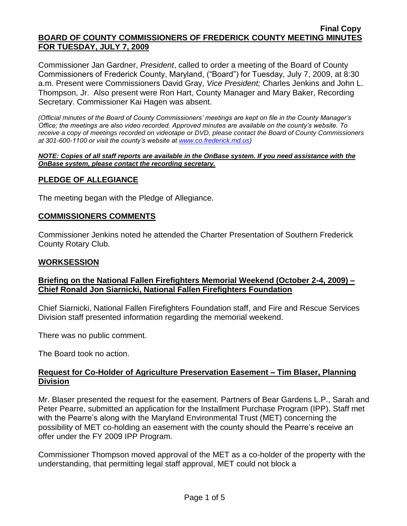Commissioner Jan Gardner, *President*, called to order a meeting of the Board of County Commissioners of Frederick County, Maryland, ("Board") for Tuesday, July 7, 2009, at 8:30 a.m. Present were Commissioners David Gray, *Vice President;* Charles Jenkins and John L. Thompson, Jr. Also present were Ron Hart, County Manager and Mary Baker, Recording Secretary. Commissioner Kai Hagen was absent.

*(Official minutes of the Board of County Commissioners' meetings are kept on file in the County Manager's Office; the meetings are also video recorded. Approved minutes are available on the county's website. To receive a copy of meetings recorded on videotape or DVD, please contact the Board of County Commissioners at 301-600-1100 or visit the county's website at [www.co.frederick.md.us\)](http://www.co.frederick.md.us/)*

#### *NOTE: Copies of all staff reports are available in the OnBase system. If you need assistance with the OnBase system, please contact the recording secretary.*

# **PLEDGE OF ALLEGIANCE**

The meeting began with the Pledge of Allegiance.

## **COMMISSIONERS COMMENTS**

Commissioner Jenkins noted he attended the Charter Presentation of Southern Frederick County Rotary Club.

### **WORKSESSION**

## **Briefing on the National Fallen Firefighters Memorial Weekend (October 2-4, 2009) – Chief Ronald Jon Siarnicki, National Fallen Firefighters Foundation**

Chief Siarnicki, National Fallen Firefighters Foundation staff, and Fire and Rescue Services Division staff presented information regarding the memorial weekend.

There was no public comment.

The Board took no action.

# **Request for Co-Holder of Agriculture Preservation Easement – Tim Blaser, Planning Division**

Mr. Blaser presented the request for the easement. Partners of Bear Gardens L.P., Sarah and Peter Pearre, submitted an application for the Installment Purchase Program (IPP). Staff met with the Pearre's along with the Maryland Environmental Trust (MET) concerning the possibility of MET co-holding an easement with the county should the Pearre's receive an offer under the FY 2009 IPP Program.

Commissioner Thompson moved approval of the MET as a co-holder of the property with the understanding, that permitting legal staff approval, MET could not block a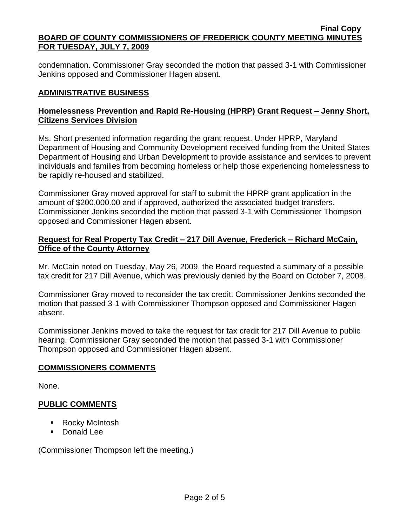condemnation. Commissioner Gray seconded the motion that passed 3-1 with Commissioner Jenkins opposed and Commissioner Hagen absent.

# **ADMINISTRATIVE BUSINESS**

# **Homelessness Prevention and Rapid Re-Housing (HPRP) Grant Request – Jenny Short, Citizens Services Division**

Ms. Short presented information regarding the grant request. Under HPRP, Maryland Department of Housing and Community Development received funding from the United States Department of Housing and Urban Development to provide assistance and services to prevent individuals and families from becoming homeless or help those experiencing homelessness to be rapidly re-housed and stabilized.

Commissioner Gray moved approval for staff to submit the HPRP grant application in the amount of \$200,000.00 and if approved, authorized the associated budget transfers. Commissioner Jenkins seconded the motion that passed 3-1 with Commissioner Thompson opposed and Commissioner Hagen absent.

## **Request for Real Property Tax Credit – 217 Dill Avenue, Frederick – Richard McCain, Office of the County Attorney**

Mr. McCain noted on Tuesday, May 26, 2009, the Board requested a summary of a possible tax credit for 217 Dill Avenue, which was previously denied by the Board on October 7, 2008.

Commissioner Gray moved to reconsider the tax credit. Commissioner Jenkins seconded the motion that passed 3-1 with Commissioner Thompson opposed and Commissioner Hagen absent.

Commissioner Jenkins moved to take the request for tax credit for 217 Dill Avenue to public hearing. Commissioner Gray seconded the motion that passed 3-1 with Commissioner Thompson opposed and Commissioner Hagen absent.

## **COMMISSIONERS COMMENTS**

None.

## **PUBLIC COMMENTS**

- Rocky McIntosh
- Donald Lee

(Commissioner Thompson left the meeting.)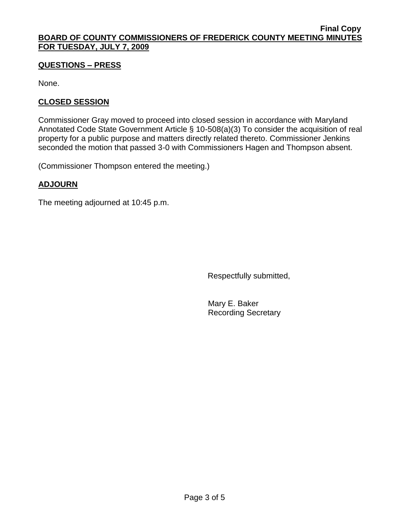# **QUESTIONS – PRESS**

None.

# **CLOSED SESSION**

Commissioner Gray moved to proceed into closed session in accordance with Maryland Annotated Code State Government Article § 10-508(a)(3) To consider the acquisition of real property for a public purpose and matters directly related thereto. Commissioner Jenkins seconded the motion that passed 3-0 with Commissioners Hagen and Thompson absent.

(Commissioner Thompson entered the meeting.)

# **ADJOURN**

The meeting adjourned at 10:45 p.m.

Respectfully submitted,

Mary E. Baker Recording Secretary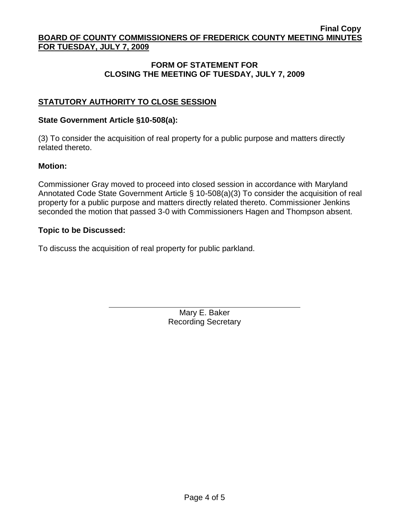# **FORM OF STATEMENT FOR CLOSING THE MEETING OF TUESDAY, JULY 7, 2009**

# **STATUTORY AUTHORITY TO CLOSE SESSION**

### **State Government Article §10-508(a):**

(3) To consider the acquisition of real property for a public purpose and matters directly related thereto.

#### **Motion:**

Commissioner Gray moved to proceed into closed session in accordance with Maryland Annotated Code State Government Article § 10-508(a)(3) To consider the acquisition of real property for a public purpose and matters directly related thereto. Commissioner Jenkins seconded the motion that passed 3-0 with Commissioners Hagen and Thompson absent.

### **Topic to be Discussed:**

To discuss the acquisition of real property for public parkland.

Mary E. Baker Recording Secretary